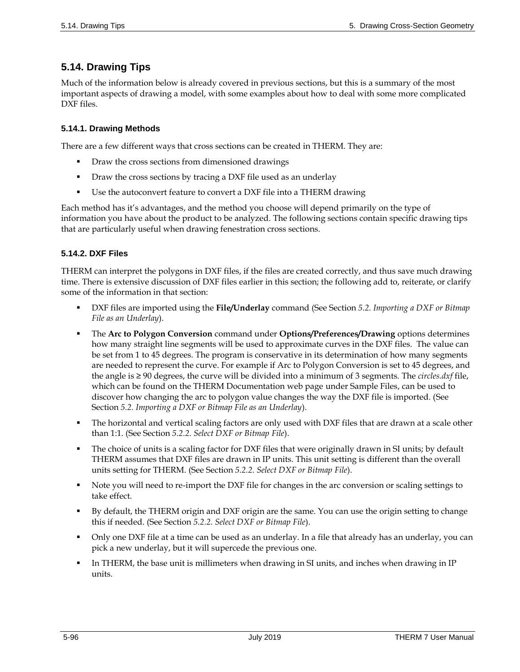# **5.14. Drawing Tips**

Much of the information below is already covered in previous sections, but this is a summary of the most important aspects of drawing a model, with some examples about how to deal with some more complicated DXF files.

## **5.14.1. Drawing Methods**

There are a few different ways that cross sections can be created in THERM. They are:

- Draw the cross sections from dimensioned drawings
- **Draw the cross sections by tracing a DXF file used as an underlay**
- Use the autoconvert feature to convert a DXF file into a THERM drawing

Each method has it's advantages, and the method you choose will depend primarily on the type of information you have about the product to be analyzed. The following sections contain specific drawing tips that are particularly useful when drawing fenestration cross sections.

## **5.14.2. DXF Files**

THERM can interpret the polygons in DXF files, if the files are created correctly, and thus save much drawing time. There is extensive discussion of DXF files earlier in this section; the following add to, reiterate, or clarify some of the information in that section:

- DXF files are imported using the **File/Underlay** command (See Section *5.2. Importing a DXF or Bitmap File as an Underlay*).
- The **Arc to Polygon Conversion** command under **Options/Preferences/Drawing** options determines how many straight line segments will be used to approximate curves in the DXF files. The value can be set from 1 to 45 degrees. The program is conservative in its determination of how many segments are needed to represent the curve. For example if Arc to Polygon Conversion is set to 45 degrees, and the angle is ≥ 90 degrees, the curve will be divided into a minimum of 3 segments. The *circles.dxf* file, which can be found on the THERM Documentation web page under Sample Files, can be used to discover how changing the arc to polygon value changes the way the DXF file is imported. (See Section *5.2. Importing a DXF or Bitmap File as an Underlay*).
- The horizontal and vertical scaling factors are only used with DXF files that are drawn at a scale other than 1:1. (See Section *5.2.2. Select DXF or Bitmap File*).
- The choice of units is a scaling factor for DXF files that were originally drawn in SI units; by default THERM assumes that DXF files are drawn in IP units. This unit setting is different than the overall units setting for THERM. (See Section *5.2.2. Select DXF or Bitmap File*).
- Note you will need to re-import the DXF file for changes in the arc conversion or scaling settings to take effect.
- By default, the THERM origin and DXF origin are the same. You can use the origin setting to change this if needed. (See Section *5.2.2. Select DXF or Bitmap File*).
- Only one DXF file at a time can be used as an underlay. In a file that already has an underlay, you can pick a new underlay, but it will supercede the previous one.
- In THERM, the base unit is millimeters when drawing in SI units, and inches when drawing in IP units.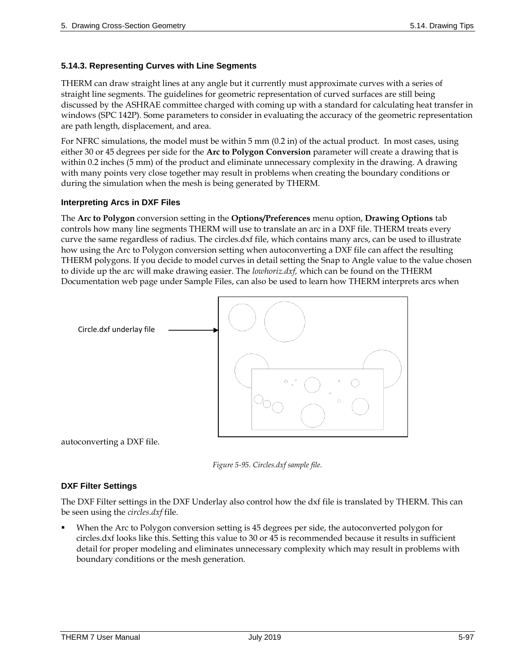## **5.14.3. Representing Curves with Line Segments**

THERM can draw straight lines at any angle but it currently must approximate curves with a series of straight line segments. The guidelines for geometric representation of curved surfaces are still being discussed by the ASHRAE committee charged with coming up with a standard for calculating heat transfer in windows (SPC 142P). Some parameters to consider in evaluating the accuracy of the geometric representation are path length, displacement, and area.

For NFRC simulations, the model must be within 5 mm (0.2 in) of the actual product. In most cases, using either 30 or 45 degrees per side for the **Arc to Polygon Conversion** parameter will create a drawing that is within 0.2 inches (5 mm) of the product and eliminate unnecessary complexity in the drawing. A drawing with many points very close together may result in problems when creating the boundary conditions or during the simulation when the mesh is being generated by THERM.

#### **Interpreting Arcs in DXF Files**

The **Arc to Polygon** conversion setting in the **Options/Preferences** menu option, **Drawing Options** tab controls how many line segments THERM will use to translate an arc in a DXF file. THERM treats every curve the same regardless of radius. The circles.dxf file, which contains many arcs, can be used to illustrate how using the Arc to Polygon conversion setting when autoconverting a DXF file can affect the resulting THERM polygons. If you decide to model curves in detail setting the Snap to Angle value to the value chosen to divide up the arc will make drawing easier. The *lowhoriz.dxf,* which can be found on the THERM Documentation web page under Sample Files, can also be used to learn how THERM interprets arcs when







#### **DXF Filter Settings**

The DXF Filter settings in the DXF Underlay also control how the dxf file is translated by THERM. This can be seen using the *circles.dxf* file.

 When the Arc to Polygon conversion setting is 45 degrees per side, the autoconverted polygon for circles.dxf looks like this. Setting this value to 30 or 45 is recommended because it results in sufficient detail for proper modeling and eliminates unnecessary complexity which may result in problems with boundary conditions or the mesh generation.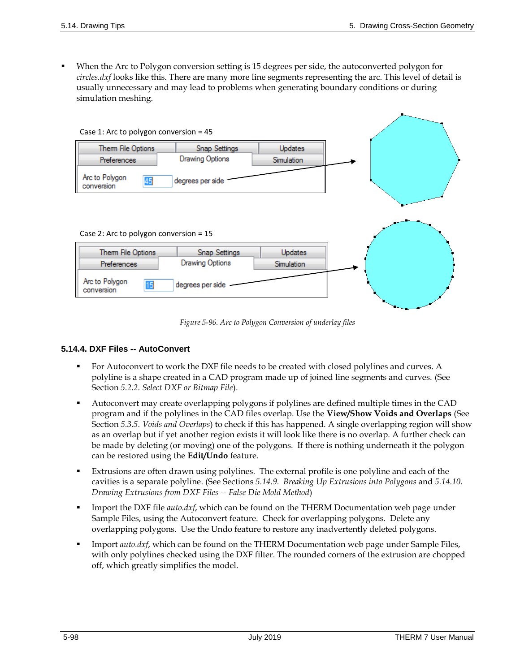When the Arc to Polygon conversion setting is 15 degrees per side, the autoconverted polygon for *circles.dxf* looks like this. There are many more line segments representing the arc. This level of detail is usually unnecessary and may lead to problems when generating boundary conditions or during simulation meshing.



*Figure 5-96. Arc to Polygon Conversion of underlay files*

#### **5.14.4. DXF Files -- AutoConvert**

- For Autoconvert to work the DXF file needs to be created with closed polylines and curves. A polyline is a shape created in a CAD program made up of joined line segments and curves. (See Section *5.2.2. Select DXF or Bitmap File*).
- Autoconvert may create overlapping polygons if polylines are defined multiple times in the CAD program and if the polylines in the CAD files overlap. Use the **View/Show Voids and Overlaps** (See Section *5.3.5. Voids and Overlaps*) to check if this has happened. A single overlapping region will show as an overlap but if yet another region exists it will look like there is no overlap. A further check can be made by deleting (or moving) one of the polygons. If there is nothing underneath it the polygon can be restored using the **Edit/Undo** feature.
- Extrusions are often drawn using polylines. The external profile is one polyline and each of the cavities is a separate polyline. (See Sections *[5.14.9. Breaking Up Extrusions into Polygons](#page-9-0)* and *[5.14.10.](#page-11-0)  [Drawing Extrusions from DXF Files --](#page-11-0) False Die Mold Method*)
- **IMPORTHLER INCO THE** *auto.dxf*, which can be found on the THERM Documentation web page under Sample Files, using the Autoconvert feature. Check for overlapping polygons. Delete any overlapping polygons. Use the Undo feature to restore any inadvertently deleted polygons.
- Import *auto.dxf*, which can be found on the THERM Documentation web page under Sample Files, with only polylines checked using the DXF filter. The rounded corners of the extrusion are chopped off, which greatly simplifies the model.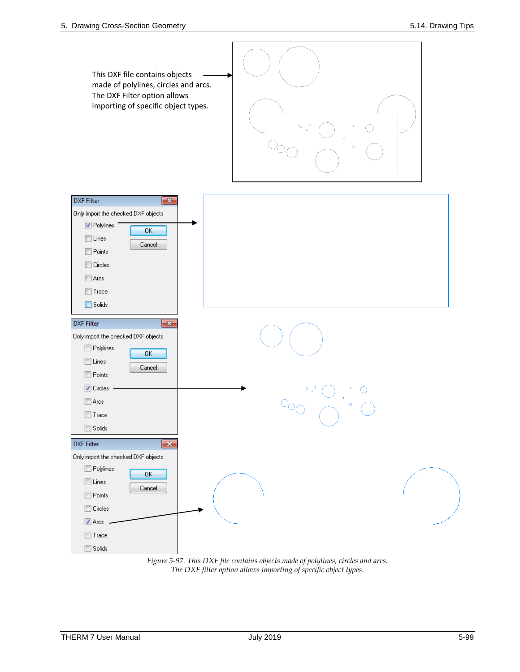

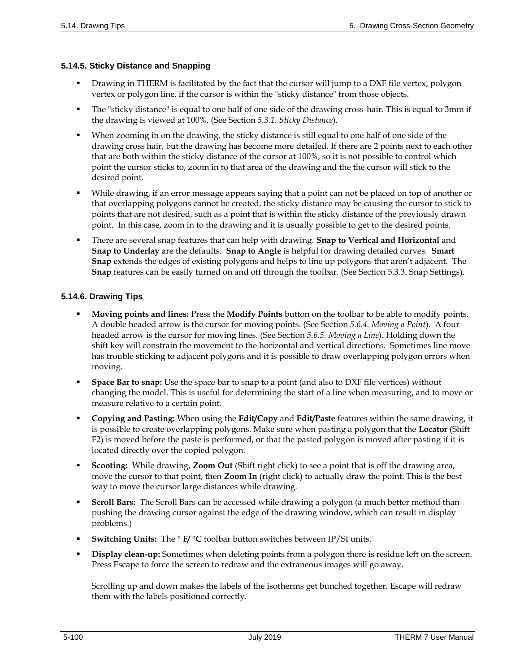#### **5.14.5. Sticky Distance and Snapping**

- Drawing in THERM is facilitated by the fact that the cursor will jump to a DXF file vertex, polygon vertex or polygon line, if the cursor is within the "sticky distance" from those objects.
- The "sticky distance" is equal to one half of one side of the drawing cross-hair. This is equal to 3mm if the drawing is viewed at 100%. (See Section *5.3.1. Sticky Distance*).
- When zooming in on the drawing, the sticky distance is still equal to one half of one side of the drawing cross hair, but the drawing has become more detailed. If there are 2 points next to each other that are both within the sticky distance of the cursor at 100%, so it is not possible to control which point the cursor sticks to, zoom in to that area of the drawing and the the cursor will stick to the desired point.
- While drawing, if an error message appears saying that a point can not be placed on top of another or that overlapping polygons cannot be created, the sticky distance may be causing the cursor to stick to points that are not desired, such as a point that is within the sticky distance of the previously drawn point. In this case, zoom in to the drawing and it is usually possible to get to the desired points.
- There are several snap features that can help with drawing. **Snap to Vertical and Horizontal** and **Snap to Underlay** are the defaults. **Snap to Angle** is helpful for drawing detailed curves. **Smart Snap** extends the edges of existing polygons and helps to line up polygons that aren't adjacent. The **Snap** features can be easily turned on and off through the toolbar. (See Section 5.3.3. Snap Settings).

## **5.14.6. Drawing Tips**

- **Moving points and lines:** Press the **Modify Points** button on the toolbar to be able to modify points. A double headed arrow is the cursor for moving points. (See Section *5.6.4. Moving a Point*). A four headed arrow is the cursor for moving lines. (See Section *5.6.5. Moving a Line*). Holding down the shift key will constrain the movement to the horizontal and vertical directions. Sometimes line move has trouble sticking to adjacent polygons and it is possible to draw overlapping polygon errors when moving.
- **Space Bar to snap:** Use the space bar to snap to a point (and also to DXF file vertices) without changing the model. This is useful for determining the start of a line when measuring, and to move or measure relative to a certain point.
- **Copying and Pasting:** When using the **Edit/Copy** and **Edit/Paste** features within the same drawing, it is possible to create overlapping polygons. Make sure when pasting a polygon that the **Locator** (Shift F2) is moved before the paste is performed, or that the pasted polygon is moved after pasting if it is located directly over the copied polygon.
- **Scooting:** While drawing, **Zoom Out** (Shift right click) to see a point that is off the drawing area, move the cursor to that point, then **Zoom In** (right click) to actually draw the point. This is the best way to move the cursor large distances while drawing.
- **Scroll Bars:** The Scroll Bars can be accessed while drawing a polygon (a much better method than pushing the drawing cursor against the edge of the drawing window, which can result in display problems.)
- **Switching Units:** The **° F/ °C** toolbar button switches between IP/SI units.
- **Display clean-up:** Sometimes when deleting points from a polygon there is residue left on the screen. Press Escape to force the screen to redraw and the extraneous images will go away.

Scrolling up and down makes the labels of the isotherms get bunched together. Escape will redraw them with the labels positioned correctly.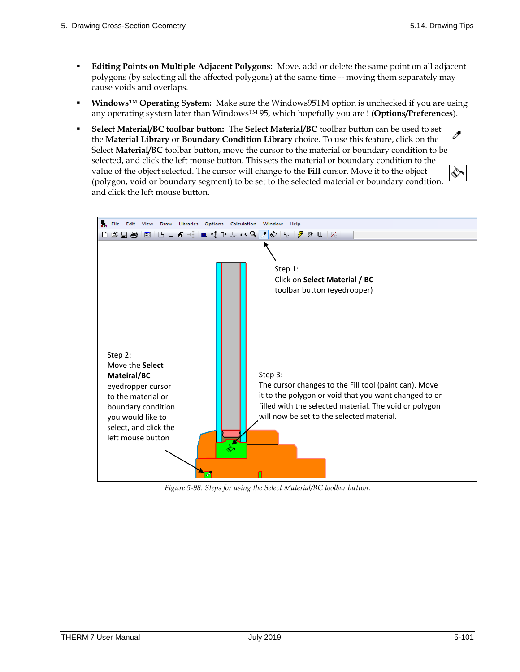- **Editing Points on Multiple Adjacent Polygons:** Move, add or delete the same point on all adjacent polygons (by selecting all the affected polygons) at the same time -- moving them separately may cause voids and overlaps.
- **Windows<sup>™</sup> Operating System:** Make sure the Windows95TM option is unchecked if you are using any operating system later than WindowsTM 95, which hopefully you are ! (**Options/Preferences**).
- **Select Material/BC toolbar button:** The **Select Material/BC** toolbar button can be used to set t – the **Material Library** or **Boundary Condition Library** choice. To use this feature, click on the Select **Material/BC** toolbar button, move the cursor to the material or boundary condition to be selected, and click the left mouse button. This sets the material or boundary condition to the value of the object selected. The cursor will change to the **Fill** cursor. Move it to the object (polygon, void or boundary segment) to be set to the selected material or boundary condition, and click the left mouse button.



*Figure 5-98. Steps for using the Select Material/BC toolbar button.*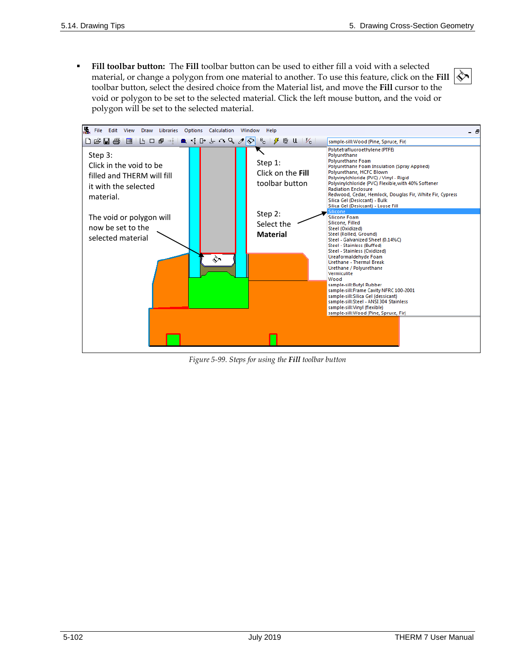«

 **Fill toolbar button:** The **Fill** toolbar button can be used to either fill a void with a selected material, or change a polygon from one material to another. To use this feature, click on the **Fill** toolbar button, select the desired choice from the Material list, and move the **Fill** cursor to the void or polygon to be set to the selected material. Click the left mouse button, and the void or polygon will be set to the selected material.



*Figure 5-99. Steps for using the Fill toolbar button*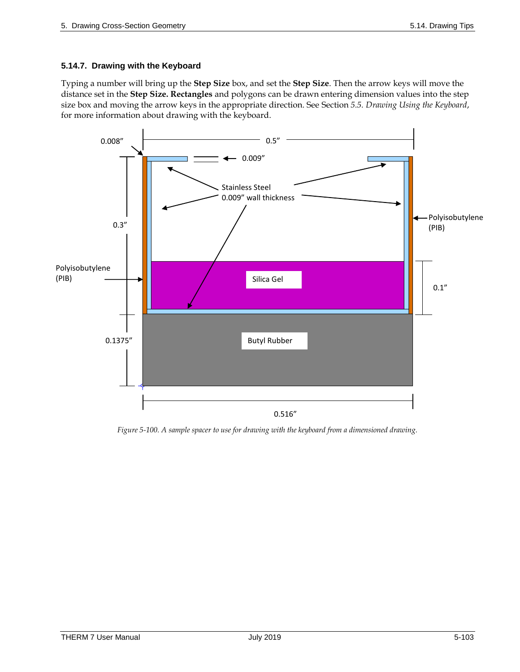#### **5.14.7. Drawing with the Keyboard**

Typing a number will bring up the **Step Size** box, and set the **Step Size**. Then the arrow keys will move the distance set in the **Step Size. Rectangles** and polygons can be drawn entering dimension values into the step size box and moving the arrow keys in the appropriate direction. See Section *5.5. Drawing Using the Keyboard*, for more information about drawing with the keyboard.



*Figure 5-100. A sample spacer to use for drawing with the keyboard from a dimensioned drawing.*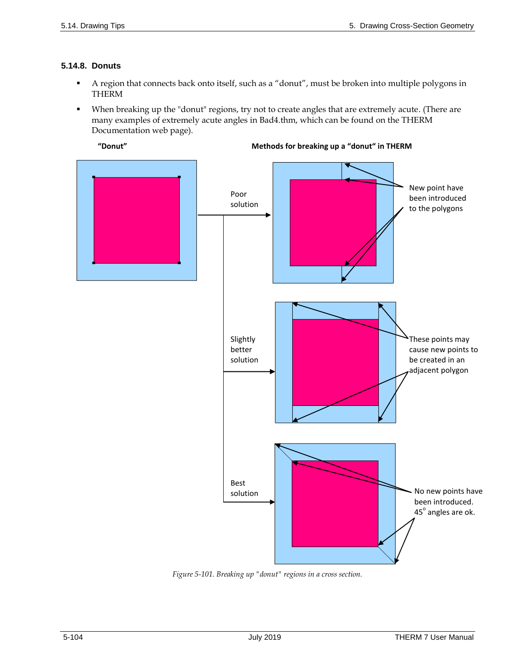# **5.14.8. Donuts**

- A region that connects back onto itself, such as a "donut", must be broken into multiple polygons in THERM
- When breaking up the "donut" regions, try not to create angles that are extremely acute. (There are many examples of extremely acute angles in Bad4.thm, which can be found on the THERM Documentation web page).





*Figure 5-101. Breaking up "donut" regions in a cross section.*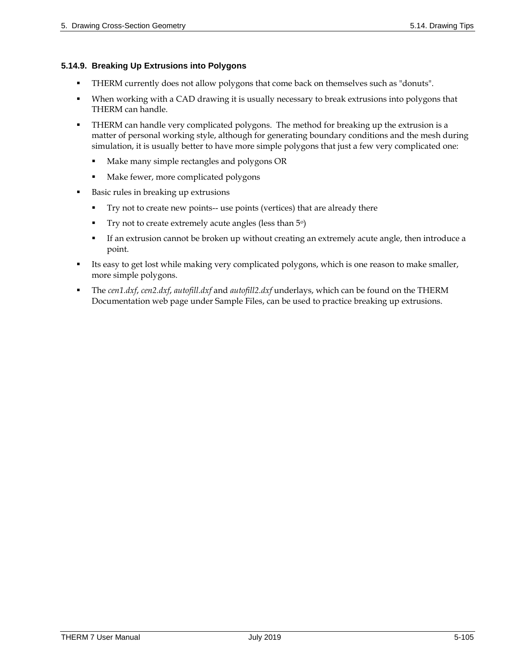#### <span id="page-9-0"></span>**5.14.9. Breaking Up Extrusions into Polygons**

- THERM currently does not allow polygons that come back on themselves such as "donuts".
- When working with a CAD drawing it is usually necessary to break extrusions into polygons that THERM can handle.
- THERM can handle very complicated polygons. The method for breaking up the extrusion is a matter of personal working style, although for generating boundary conditions and the mesh during simulation, it is usually better to have more simple polygons that just a few very complicated one:
	- **Make many simple rectangles and polygons OR**
	- Make fewer, more complicated polygons
- Basic rules in breaking up extrusions
	- Try not to create new points-- use points (vertices) that are already there
	- Try not to create extremely acute angles (less than  $5^{\circ}$ )
	- If an extrusion cannot be broken up without creating an extremely acute angle, then introduce a point.
- Its easy to get lost while making very complicated polygons, which is one reason to make smaller, more simple polygons.
- The *cen1.dxf*, *cen2.dxf*, *autofill.dxf* and *autofill2.dxf* underlays, which can be found on the THERM Documentation web page under Sample Files, can be used to practice breaking up extrusions.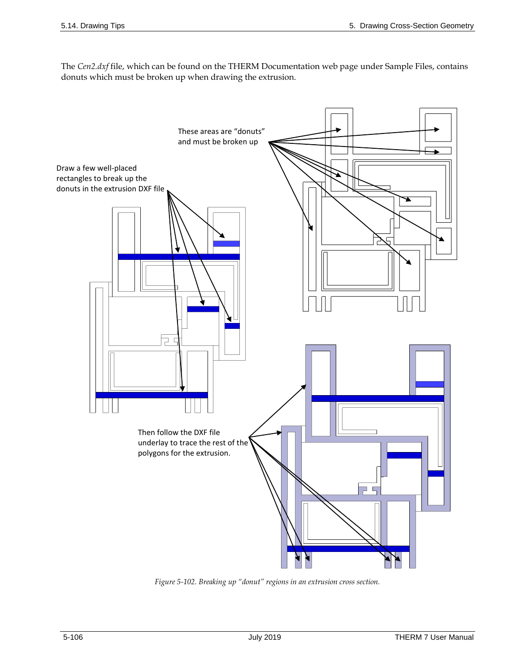The *Cen2.dxf* file, which can be found on the THERM Documentation web page under Sample Files, contains donuts which must be broken up when drawing the extrusion.



*Figure 5-102. Breaking up "donut" regions in an extrusion cross section.*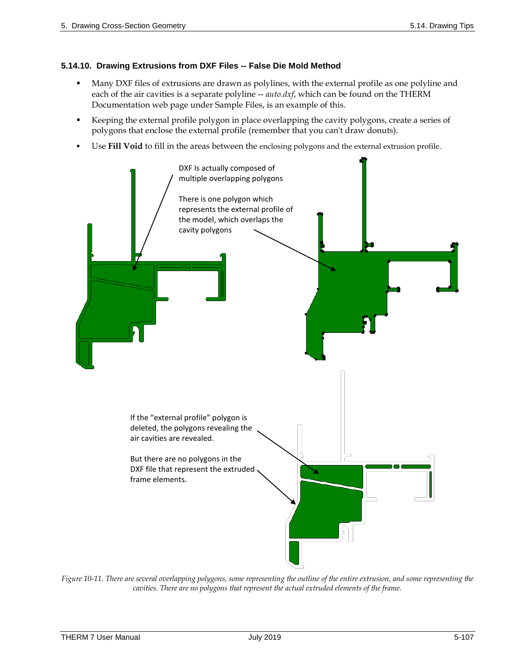#### <span id="page-11-0"></span>**5.14.10. Drawing Extrusions from DXF Files -- False Die Mold Method**

- Many DXF files of extrusions are drawn as polylines, with the external profile as one polyline and each of the air cavities is a separate polyline -- *auto.dxf*, which can be found on the THERM Documentation web page under Sample Files, is an example of this.
- Keeping the external profile polygon in place overlapping the cavity polygons, create a series of polygons that enclose the external profile (remember that you can't draw donuts).
- Use **Fill Void** to fill in the areas between the enclosing polygons and the external extrusion profile.



*Figure 10-11. There are several overlapping polygons, some representing the outline of the entire extrusion, and some representing the cavities. There are no polygons that represent the actual extruded elements of the frame.*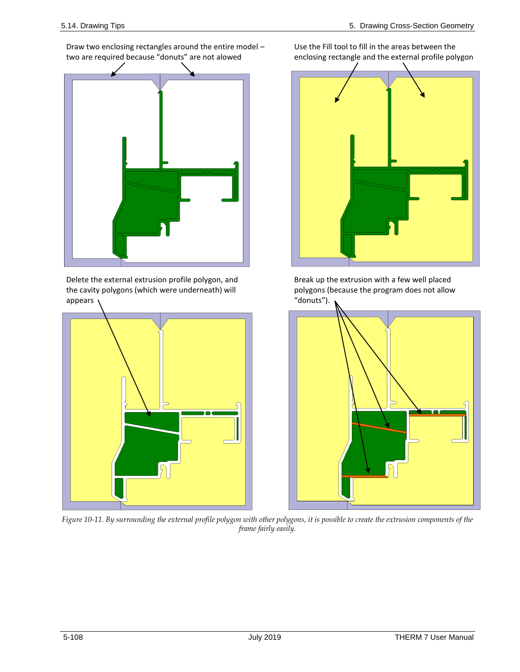Draw two enclosing rectangles around the entire model – two are required because "donuts" are not alowed

Delete the external extrusion profile polygon, and the cavity polygons (which were underneath) will appears



Use the Fill tool to fill in the areas between the enclosing rectangle and the external profile polygon



Break up the extrusion with a few well placed polygons (because the program does not allow "donuts").



*Figure 10-11. By surrounding the external profile polygon with other polygons, it is possible to create the extrusion components of the frame fairly easily.*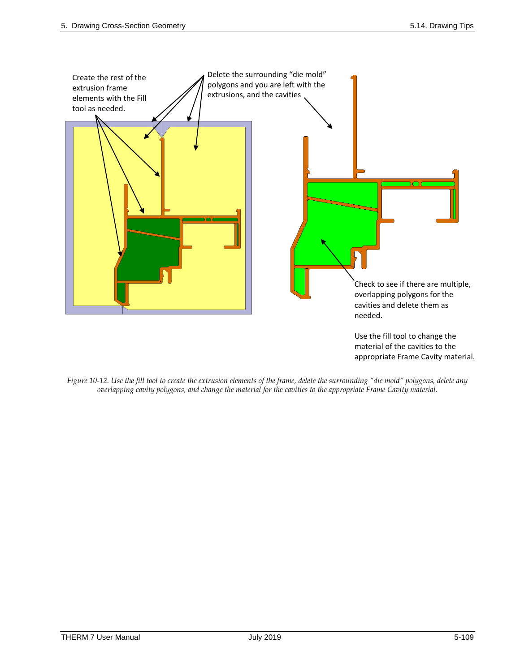

*Figure 10-12. Use the fill tool to create the extrusion elements of the frame, delete the surrounding "die mold" polygons, delete any overlapping cavity polygons, and change the material for the cavities to the appropriate Frame Cavity material.*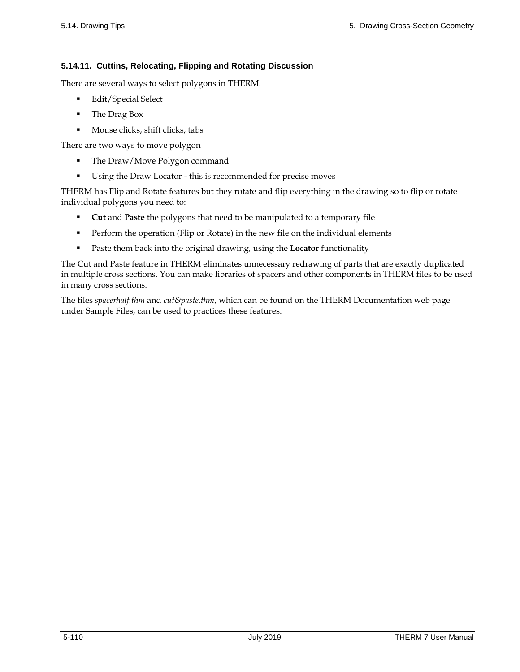# **5.14.11. Cuttins, Relocating, Flipping and Rotating Discussion**

There are several ways to select polygons in THERM.

- **Edit/Special Select**
- The Drag Box
- Mouse clicks, shift clicks, tabs

There are two ways to move polygon

- The Draw/Move Polygon command
- Using the Draw Locator this is recommended for precise moves

THERM has Flip and Rotate features but they rotate and flip everything in the drawing so to flip or rotate individual polygons you need to:

- **Cut** and **Paste** the polygons that need to be manipulated to a temporary file
- **Perform the operation (Flip or Rotate) in the new file on the individual elements**
- Paste them back into the original drawing, using the **Locator** functionality

The Cut and Paste feature in THERM eliminates unnecessary redrawing of parts that are exactly duplicated in multiple cross sections. You can make libraries of spacers and other components in THERM files to be used in many cross sections.

The files *spacerhalf.thm* and *cut&paste.thm*, which can be found on the THERM Documentation web page under Sample Files, can be used to practices these features.